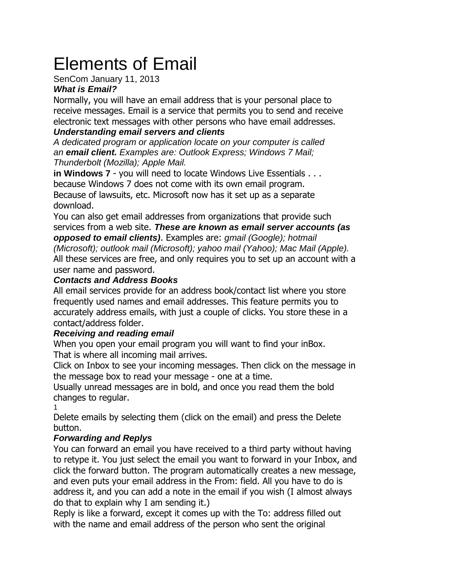# Elements of Email

SenCom January 11, 2013 *What is Email?*

Normally, you will have an email address that is your personal place to receive messages. Email is a service that permits you to send and receive electronic text messages with other persons who have email addresses.

## *Understanding email servers and clients*

*A dedicated program or application locate on your computer is called an email client. Examples are: Outlook Express; Windows 7 Mail; Thunderbolt (Mozilla); Apple Mail.*

**in Windows 7** - you will need to locate Windows Live Essentials . . . because Windows 7 does not come with its own email program. Because of lawsuits, etc. Microsoft now has it set up as a separate download.

You can also get email addresses from organizations that provide such services from a web site. *These are known as email server accounts (as opposed to email clients)*. Examples are: *gmail (Google); hotmail*

*(Microsoft); outlook mail (Microsoft); yahoo mail (Yahoo); Mac Mail (Apple).* All these services are free, and only requires you to set up an account with a user name and password.

#### *Contacts and Address Books*

All email services provide for an address book/contact list where you store frequently used names and email addresses. This feature permits you to accurately address emails, with just a couple of clicks. You store these in a contact/address folder.

### *Receiving and reading email*

When you open your email program you will want to find your inBox. That is where all incoming mail arrives.

Click on Inbox to see your incoming messages. Then click on the message in the message box to read your message - one at a time.

Usually unread messages are in bold, and once you read them the bold changes to regular.

1

Delete emails by selecting them (click on the email) and press the Delete button.

### *Forwarding and Replys*

You can forward an email you have received to a third party without having to retype it. You just select the email you want to forward in your Inbox, and click the forward button. The program automatically creates a new message, and even puts your email address in the From: field. All you have to do is address it, and you can add a note in the email if you wish (I almost always do that to explain why I am sending it.)

Reply is like a forward, except it comes up with the To: address filled out with the name and email address of the person who sent the original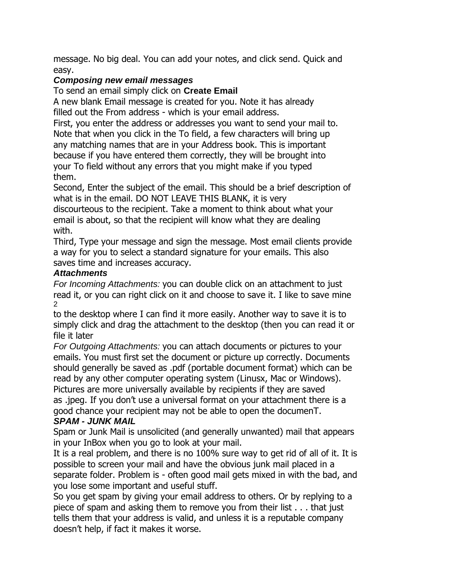message. No big deal. You can add your notes, and click send. Quick and easy.

### *Composing new email messages*

To send an email simply click on **Create Email**

A new blank Email message is created for you. Note it has already filled out the From address - which is your email address.

First, you enter the address or addresses you want to send your mail to. Note that when you click in the To field, a few characters will bring up any matching names that are in your Address book. This is important because if you have entered them correctly, they will be brought into your To field without any errors that you might make if you typed them.

Second, Enter the subject of the email. This should be a brief description of what is in the email. DO NOT LEAVE THIS BLANK, it is very

discourteous to the recipient. Take a moment to think about what your email is about, so that the recipient will know what they are dealing with.

Third, Type your message and sign the message. Most email clients provide a way for you to select a standard signature for your emails. This also saves time and increases accuracy.

### *Attachments*

*For Incoming Attachments:* you can double click on an attachment to just read it, or you can right click on it and choose to save it. I like to save mine 2

to the desktop where I can find it more easily. Another way to save it is to simply click and drag the attachment to the desktop (then you can read it or file it later

*For Outgoing Attachments:* you can attach documents or pictures to your emails. You must first set the document or picture up correctly. Documents should generally be saved as .pdf (portable document format) which can be read by any other computer operating system (Linusx, Mac or Windows). Pictures are more universally available by recipients if they are saved as .jpeg. If you don't use a universal format on your attachment there is a good chance your recipient may not be able to open the documenT.

## *SPAM - JUNK MAIL*

Spam or Junk Mail is unsolicited (and generally unwanted) mail that appears in your InBox when you go to look at your mail.

It is a real problem, and there is no 100% sure way to get rid of all of it. It is possible to screen your mail and have the obvious junk mail placed in a separate folder. Problem is - often good mail gets mixed in with the bad, and you lose some important and useful stuff.

So you get spam by giving your email address to others. Or by replying to a piece of spam and asking them to remove you from their list . . . that just tells them that your address is valid, and unless it is a reputable company doesn't help, if fact it makes it worse.